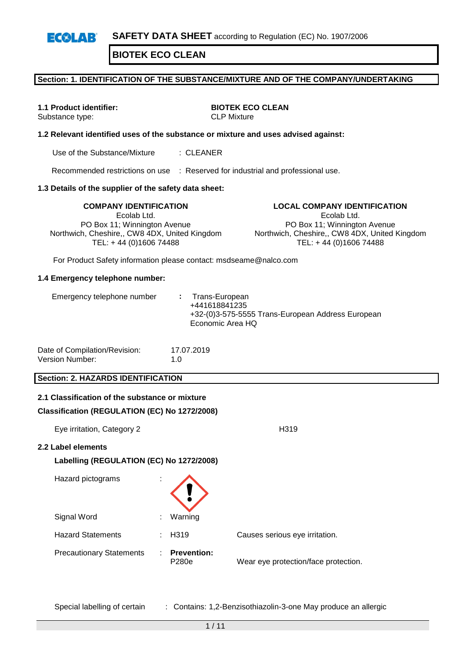#### **Section: 1. IDENTIFICATION OF THE SUBSTANCE/MIXTURE AND OF THE COMPANY/UNDERTAKING**

Substance type:

**1.1 Product identifier: BIOTEK ECO CLEAN**<br>Substance type: **BIOTEK ECO CLEAN** 

#### **1.2 Relevant identified uses of the substance or mixture and uses advised against:**

Use of the Substance/Mixture : CLEANER

Recommended restrictions on use : Reserved for industrial and professional use.

#### **1.3 Details of the supplier of the safety data sheet:**

Ecolab Ltd. PO Box 11; Winnington Avenue Northwich, Cheshire,, CW8 4DX, United Kingdom TEL: + 44 (0)1606 74488

**COMPANY IDENTIFICATION LOCAL COMPANY IDENTIFICATION** Ecolab Ltd. PO Box 11; Winnington Avenue Northwich, Cheshire,, CW8 4DX, United Kingdom TEL: + 44 (0)1606 74488

For Product Safety information please contact: msdseame@nalco.com

#### **1.4 Emergency telephone number:**

| Economic Area HQ |
|------------------|
|------------------|

| Date of Compilation/Revision: | 17.07.2019  |
|-------------------------------|-------------|
| Version Number:               | 1. $\Omega$ |

#### **Section: 2. HAZARDS IDENTIFICATION**

| 2.1 Classification of the substance or mixture<br>Classification (REGULATION (EC) No 1272/2008) |   |                             |                                      |
|-------------------------------------------------------------------------------------------------|---|-----------------------------|--------------------------------------|
| Eye irritation, Category 2                                                                      |   |                             | H <sub>319</sub>                     |
| 2.2 Label elements<br>Labelling (REGULATION (EC) No 1272/2008)                                  |   |                             |                                      |
| Hazard pictograms                                                                               |   |                             |                                      |
| Signal Word                                                                                     |   | Warning                     |                                      |
| <b>Hazard Statements</b>                                                                        |   | $\div$ H319                 | Causes serious eye irritation.       |
| <b>Precautionary Statements</b>                                                                 | ÷ | <b>Prevention:</b><br>P280e | Wear eye protection/face protection. |

Special labelling of certain : Contains: 1,2-Benzisothiazolin-3-one May produce an allergic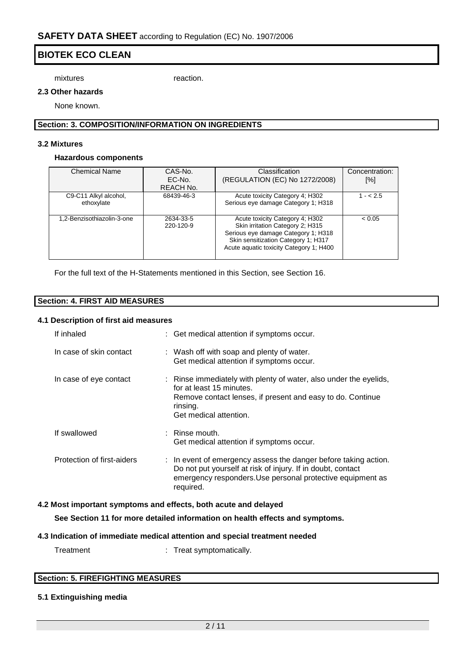mixtures reaction.

#### **2.3 Other hazards**

None known.

#### **Section: 3. COMPOSITION/INFORMATION ON INGREDIENTS**

#### **3.2 Mixtures**

#### **Hazardous components**

| <b>Chemical Name</b>                | CAS-No.<br>EC-No.<br>REACH No. | <b>Classification</b><br>(REGULATION (EC) No 1272/2008)                                                                                                                                      | Concentration:<br>[%] |
|-------------------------------------|--------------------------------|----------------------------------------------------------------------------------------------------------------------------------------------------------------------------------------------|-----------------------|
| C9-C11 Alkyl alcohol,<br>ethoxylate | 68439-46-3                     | Acute toxicity Category 4; H302<br>Serious eye damage Category 1; H318                                                                                                                       | $1 - 2.5$             |
| 1.2-Benzisothiazolin-3-one          | 2634-33-5<br>220-120-9         | Acute toxicity Category 4; H302<br>Skin irritation Category 2; H315<br>Serious eye damage Category 1; H318<br>Skin sensitization Category 1; H317<br>Acute aquatic toxicity Category 1; H400 | < 0.05                |

For the full text of the H-Statements mentioned in this Section, see Section 16.

| <b>Section: 4. FIRST AID MEASURES</b> |  |
|---------------------------------------|--|

#### **4.1 Description of first aid measures**

| If inhaled                 | : Get medical attention if symptoms occur.                                                                                                                                                                           |
|----------------------------|----------------------------------------------------------------------------------------------------------------------------------------------------------------------------------------------------------------------|
| In case of skin contact    | : Wash off with soap and plenty of water.<br>Get medical attention if symptoms occur.                                                                                                                                |
| In case of eye contact     | : Rinse immediately with plenty of water, also under the eyelids,<br>for at least 15 minutes.<br>Remove contact lenses, if present and easy to do. Continue<br>rinsing.<br>Get medical attention.                    |
| If swallowed               | $:$ Rinse mouth.<br>Get medical attention if symptoms occur.                                                                                                                                                         |
| Protection of first-aiders | $\therefore$ In event of emergency assess the danger before taking action.<br>Do not put yourself at risk of injury. If in doubt, contact<br>emergency responders. Use personal protective equipment as<br>required. |

#### **4.2 Most important symptoms and effects, both acute and delayed**

**See Section 11 for more detailed information on health effects and symptoms.**

#### **4.3 Indication of immediate medical attention and special treatment needed**

Treatment : Treat symptomatically.

| <b>Section: 5. FIREFIGHTING MEASURES</b> |  |
|------------------------------------------|--|

#### **5.1 Extinguishing media**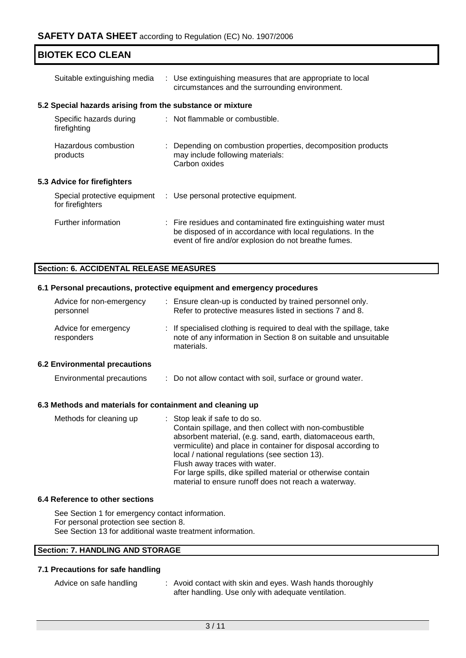| Suitable extinguishing media                              | : Use extinguishing measures that are appropriate to local<br>circumstances and the surrounding environment.                                                                          |
|-----------------------------------------------------------|---------------------------------------------------------------------------------------------------------------------------------------------------------------------------------------|
| 5.2 Special hazards arising from the substance or mixture |                                                                                                                                                                                       |
| Specific hazards during<br>firefighting                   | : Not flammable or combustible.                                                                                                                                                       |
| Hazardous combustion<br>products                          | : Depending on combustion properties, decomposition products<br>may include following materials:<br>Carbon oxides                                                                     |
| <b>5.3 Advice for firefighters</b>                        |                                                                                                                                                                                       |
| Special protective equipment<br>for firefighters          | : Use personal protective equipment.                                                                                                                                                  |
| Further information                                       | : Fire residues and contaminated fire extinguishing water must<br>be disposed of in accordance with local regulations. In the<br>event of fire and/or explosion do not breathe fumes. |

#### **Section: 6. ACCIDENTAL RELEASE MEASURES**

#### **6.1 Personal precautions, protective equipment and emergency procedures**

| Advice for non-emergency<br>personnel | ÷. | Ensure clean-up is conducted by trained personnel only.<br>Refer to protective measures listed in sections 7 and 8.                                    |
|---------------------------------------|----|--------------------------------------------------------------------------------------------------------------------------------------------------------|
| Advice for emergency<br>responders    |    | : If specialised clothing is required to deal with the spillage, take<br>note of any information in Section 8 on suitable and unsuitable<br>materials. |
| <b>6.2 Environmental precautions</b>  |    |                                                                                                                                                        |
| <b>Environmental precautions</b>      |    | : Do not allow contact with soil, surface or ground water.                                                                                             |

#### **6.3 Methods and materials for containment and cleaning up**

|  | Methods for cleaning up | : Stop leak if safe to do so.<br>Contain spillage, and then collect with non-combustible<br>absorbent material, (e.g. sand, earth, diatomaceous earth,<br>vermiculite) and place in container for disposal according to<br>local / national regulations (see section 13).<br>Flush away traces with water.<br>For large spills, dike spilled material or otherwise contain<br>material to ensure runoff does not reach a waterway. |
|--|-------------------------|------------------------------------------------------------------------------------------------------------------------------------------------------------------------------------------------------------------------------------------------------------------------------------------------------------------------------------------------------------------------------------------------------------------------------------|
|--|-------------------------|------------------------------------------------------------------------------------------------------------------------------------------------------------------------------------------------------------------------------------------------------------------------------------------------------------------------------------------------------------------------------------------------------------------------------------|

#### **6.4 Reference to other sections**

See Section 1 for emergency contact information. For personal protection see section 8. See Section 13 for additional waste treatment information.

## **Section: 7. HANDLING AND STORAGE**

#### **7.1 Precautions for safe handling**

| Advice on safe handling | : Avoid contact with skin and eyes. Wash hands thoroughly |
|-------------------------|-----------------------------------------------------------|
|                         | after handling. Use only with adequate ventilation.       |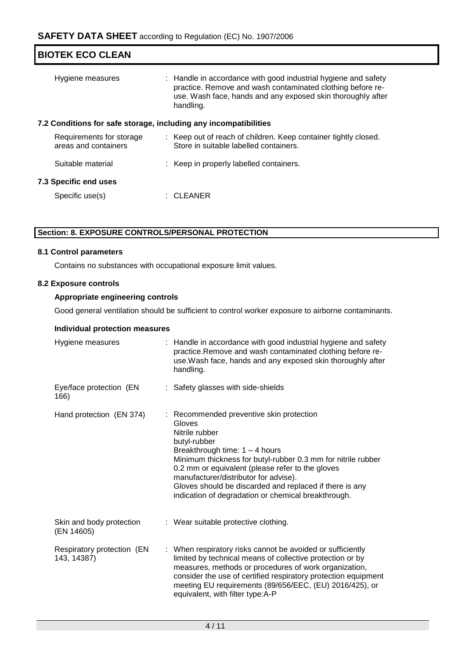| <b>BIOTEK ECO CLEAN</b>                                          |                                                                                                                                                                                                          |  |  |  |  |
|------------------------------------------------------------------|----------------------------------------------------------------------------------------------------------------------------------------------------------------------------------------------------------|--|--|--|--|
| Hygiene measures                                                 | : Handle in accordance with good industrial hygiene and safety<br>practice. Remove and wash contaminated clothing before re-<br>use. Wash face, hands and any exposed skin thoroughly after<br>handling. |  |  |  |  |
| 7.2 Conditions for safe storage, including any incompatibilities |                                                                                                                                                                                                          |  |  |  |  |
| Requirements for storage<br>areas and containers                 | : Keep out of reach of children. Keep container tightly closed.<br>Store in suitable labelled containers.                                                                                                |  |  |  |  |
| Suitable material                                                | : Keep in properly labelled containers.                                                                                                                                                                  |  |  |  |  |
| 7.3 Specific end uses                                            |                                                                                                                                                                                                          |  |  |  |  |
| Specific use(s)                                                  | : CLEANER                                                                                                                                                                                                |  |  |  |  |
|                                                                  |                                                                                                                                                                                                          |  |  |  |  |

### **Section: 8. EXPOSURE CONTROLS/PERSONAL PROTECTION**

#### **8.1 Control parameters**

Contains no substances with occupational exposure limit values.

#### **8.2 Exposure controls**

#### **Appropriate engineering controls**

Good general ventilation should be sufficient to control worker exposure to airborne contaminants.

#### **Individual protection measures**

| Hygiene measures                          | : Handle in accordance with good industrial hygiene and safety<br>practice. Remove and wash contaminated clothing before re-<br>use. Wash face, hands and any exposed skin thoroughly after<br>handling.                                                                                                                                                                                                |
|-------------------------------------------|---------------------------------------------------------------------------------------------------------------------------------------------------------------------------------------------------------------------------------------------------------------------------------------------------------------------------------------------------------------------------------------------------------|
| Eye/face protection (EN<br>166)           | : Safety glasses with side-shields                                                                                                                                                                                                                                                                                                                                                                      |
| Hand protection (EN 374)                  | : Recommended preventive skin protection<br>Gloves<br>Nitrile rubber<br>butyl-rubber<br>Breakthrough time: $1 - 4$ hours<br>Minimum thickness for butyl-rubber 0.3 mm for nitrile rubber<br>0.2 mm or equivalent (please refer to the gloves<br>manufacturer/distributor for advise).<br>Gloves should be discarded and replaced if there is any<br>indication of degradation or chemical breakthrough. |
| Skin and body protection<br>(EN 14605)    | : Wear suitable protective clothing.                                                                                                                                                                                                                                                                                                                                                                    |
| Respiratory protection (EN<br>143, 14387) | : When respiratory risks cannot be avoided or sufficiently<br>limited by technical means of collective protection or by<br>measures, methods or procedures of work organization,<br>consider the use of certified respiratory protection equipment<br>meeting EU requirements (89/656/EEC, (EU) 2016/425), or<br>equivalent, with filter type:A-P                                                       |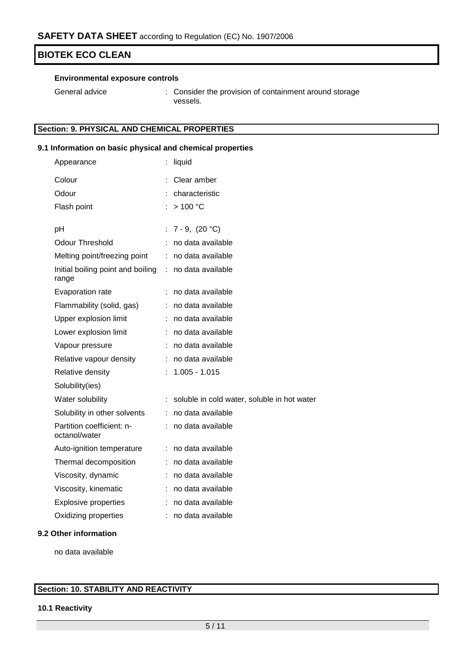#### **Environmental exposure controls**

General advice : Consider the provision of containment around storage vessels.

# **Section: 9. PHYSICAL AND CHEMICAL PROPERTIES**

#### **9.1 Information on basic physical and chemical properties**

| Appearance                                 |    | liquid                                      |
|--------------------------------------------|----|---------------------------------------------|
| Colour                                     |    | Clear amber                                 |
| Odour                                      |    | characteristic                              |
| Flash point                                |    | >100 °C                                     |
| pH                                         | t. | $7 - 9, (20 °C)$                            |
| <b>Odour Threshold</b>                     |    | no data available                           |
| Melting point/freezing point               |    | no data available                           |
| Initial boiling point and boiling<br>range | ÷  | no data available                           |
| Evaporation rate                           | ÷  | no data available                           |
| Flammability (solid, gas)                  | t. | no data available                           |
| Upper explosion limit                      |    | no data available                           |
| Lower explosion limit                      |    | no data available                           |
| Vapour pressure                            |    | no data available                           |
| Relative vapour density                    | ÷  | no data available                           |
| Relative density                           |    | $1.005 - 1.015$                             |
| Solubility(ies)                            |    |                                             |
| Water solubility                           |    | soluble in cold water, soluble in hot water |
| Solubility in other solvents               | ÷. | no data available                           |
| Partition coefficient: n-<br>octanol/water |    | no data available                           |
| Auto-ignition temperature                  | ÷  | no data available                           |
| Thermal decomposition                      | ÷. | no data available                           |
| Viscosity, dynamic                         |    | no data available                           |
| Viscosity, kinematic                       |    | no data available                           |
| <b>Explosive properties</b>                |    | no data available                           |
| Oxidizing properties                       |    | no data available                           |
|                                            |    |                                             |

#### **9.2 Other information**

no data available

# **Section: 10. STABILITY AND REACTIVITY**

#### **10.1 Reactivity**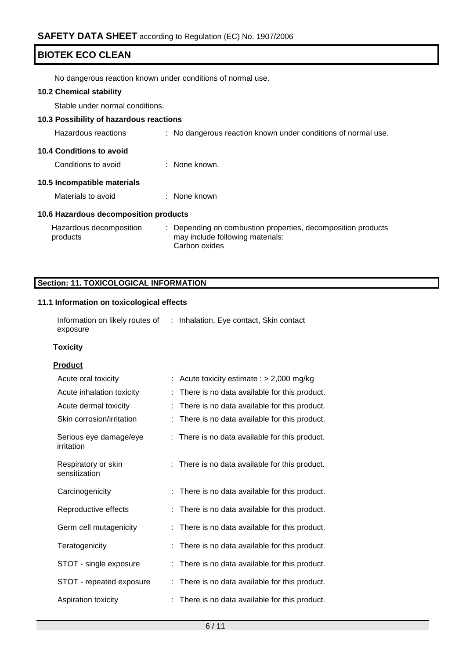No dangerous reaction known under conditions of normal use.

#### **10.2 Chemical stability**

Stable under normal conditions.

#### **10.3 Possibility of hazardous reactions**

Hazardous reactions : No dangerous reaction known under conditions of normal use.

# **10.4 Conditions to avoid**

Conditions to avoid : None known.

#### **10.5 Incompatible materials**

| Materials to avoid | None known |
|--------------------|------------|
|                    |            |

#### **10.6 Hazardous decomposition products**

| Hazardous decomposition | : Depending on combustion properties, decomposition products |
|-------------------------|--------------------------------------------------------------|
| products                | may include following materials:                             |
|                         | Carbon oxides                                                |

### **Section: 11. TOXICOLOGICAL INFORMATION**

### **11.1 Information on toxicological effects**

| Information on likely routes of | : Inhalation, Eye contact, Skin contact |  |
|---------------------------------|-----------------------------------------|--|
| exposure                        |                                         |  |

#### **Toxicity**

#### **Product**

| Acute oral toxicity                  | Acute toxicity estimate : $> 2,000$ mg/kg      |
|--------------------------------------|------------------------------------------------|
| Acute inhalation toxicity            | There is no data available for this product.   |
| Acute dermal toxicity                | There is no data available for this product.   |
| Skin corrosion/irritation            | There is no data available for this product.   |
| Serious eye damage/eye<br>irritation | : There is no data available for this product. |
| Respiratory or skin<br>sensitization | : There is no data available for this product. |
| Carcinogenicity                      | There is no data available for this product.   |
| Reproductive effects                 | There is no data available for this product.   |
| Germ cell mutagenicity               | There is no data available for this product.   |
| Teratogenicity                       | There is no data available for this product.   |
| STOT - single exposure               | There is no data available for this product.   |
| STOT - repeated exposure             | There is no data available for this product.   |
| Aspiration toxicity                  | There is no data available for this product.   |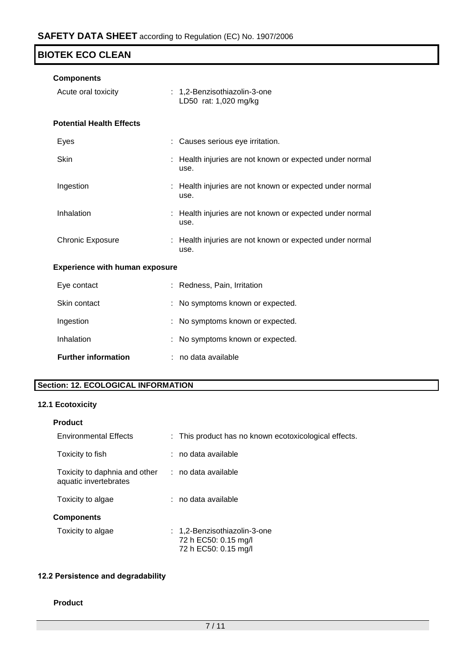| <b>Components</b>                     |                                                                  |
|---------------------------------------|------------------------------------------------------------------|
| Acute oral toxicity                   | : 1,2-Benzisothiazolin-3-one<br>LD50 rat: 1,020 mg/kg            |
| <b>Potential Health Effects</b>       |                                                                  |
| Eyes                                  | Causes serious eye irritation.                                   |
| <b>Skin</b>                           | : Health injuries are not known or expected under normal<br>use. |
| Ingestion                             | Health injuries are not known or expected under normal<br>use.   |
| Inhalation                            | : Health injuries are not known or expected under normal<br>use. |
| <b>Chronic Exposure</b>               | : Health injuries are not known or expected under normal<br>use. |
| <b>Experience with human exposure</b> |                                                                  |
| Eye contact                           | Redness, Pain, Irritation                                        |
| Skin contact                          | No symptoms known or expected.                                   |
| Ingestion                             | No symptoms known or expected.                                   |
| Inhalation                            | No symptoms known or expected.                                   |
| <b>Further information</b>            | no data available                                                |

# **Section: 12. ECOLOGICAL INFORMATION**

## **12.1 Ecotoxicity**

| <b>Product</b>                                                             |                                                                              |
|----------------------------------------------------------------------------|------------------------------------------------------------------------------|
| <b>Environmental Effects</b>                                               | : This product has no known ecotoxicological effects.                        |
| Toxicity to fish                                                           | : no data available                                                          |
| Toxicity to daphnia and other : no data available<br>aquatic invertebrates |                                                                              |
| Toxicity to algae                                                          | : no data available                                                          |
| <b>Components</b>                                                          |                                                                              |
| Toxicity to algae                                                          | : 1,2-Benzisothiazolin-3-one<br>72 h EC50: 0.15 mg/l<br>72 h EC50: 0.15 mg/l |

# **12.2 Persistence and degradability**

#### **Product**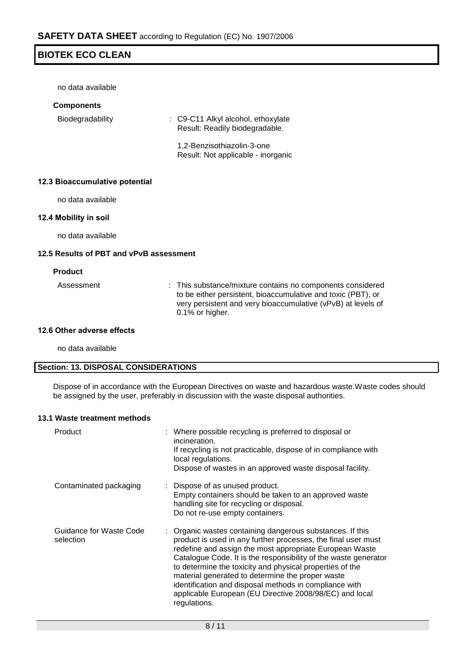no data available

#### **Components**

Biodegradability : C9-C11 Alkyl alcohol, ethoxylate Result: Readily biodegradable.

> 1,2-Benzisothiazolin-3-one Result: Not applicable - inorganic

#### **12.3 Bioaccumulative potential**

no data available

#### **12.4 Mobility in soil**

no data available

#### **12.5 Results of PBT and vPvB assessment**

#### **Product**

Assessment : This substance/mixture contains no components considered to be either persistent, bioaccumulative and toxic (PBT), or very persistent and very bioaccumulative (vPvB) at levels of 0.1% or higher.

#### **12.6 Other adverse effects**

no data available

#### **Section: 13. DISPOSAL CONSIDERATIONS**

Dispose of in accordance with the European Directives on waste and hazardous waste.Waste codes should be assigned by the user, preferably in discussion with the waste disposal authorities.

#### **13.1 Waste treatment methods**

| Product                              | : Where possible recycling is preferred to disposal or<br>incineration.<br>If recycling is not practicable, dispose of in compliance with<br>local regulations.<br>Dispose of wastes in an approved waste disposal facility.                                                                                                                                                                                                                                                                                  |
|--------------------------------------|---------------------------------------------------------------------------------------------------------------------------------------------------------------------------------------------------------------------------------------------------------------------------------------------------------------------------------------------------------------------------------------------------------------------------------------------------------------------------------------------------------------|
| Contaminated packaging               | : Dispose of as unused product.<br>Empty containers should be taken to an approved waste<br>handling site for recycling or disposal.<br>Do not re-use empty containers.                                                                                                                                                                                                                                                                                                                                       |
| Guidance for Waste Code<br>selection | : Organic wastes containing dangerous substances. If this<br>product is used in any further processes, the final user must<br>redefine and assign the most appropriate European Waste<br>Catalogue Code. It is the responsibility of the waste generator<br>to determine the toxicity and physical properties of the<br>material generated to determine the proper waste<br>identification and disposal methods in compliance with<br>applicable European (EU Directive 2008/98/EC) and local<br>regulations. |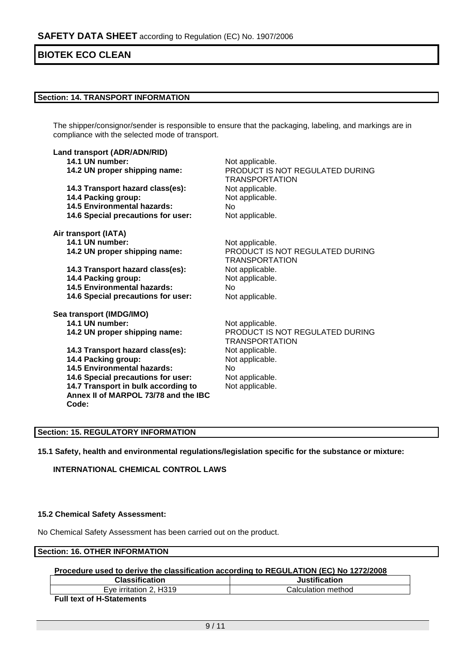#### **Section: 14. TRANSPORT INFORMATION**

The shipper/consignor/sender is responsible to ensure that the packaging, labeling, and markings are in compliance with the selected mode of transport.

| Land transport (ADR/ADN/RID)<br>14.1 UN number:<br>14.2 UN proper shipping name:<br>14.3 Transport hazard class(es): | Not applicable.<br>PRODUCT IS NOT REGULATED DURING<br><b>TRANSPORTATION</b><br>Not applicable. |  |  |
|----------------------------------------------------------------------------------------------------------------------|------------------------------------------------------------------------------------------------|--|--|
| 14.4 Packing group:                                                                                                  | Not applicable.                                                                                |  |  |
| <b>14.5 Environmental hazards:</b>                                                                                   | No                                                                                             |  |  |
| 14.6 Special precautions for user:                                                                                   | Not applicable.                                                                                |  |  |
| Air transport (IATA)                                                                                                 |                                                                                                |  |  |
| 14.1 UN number:                                                                                                      | Not applicable.                                                                                |  |  |
| 14.2 UN proper shipping name:                                                                                        | PRODUCT IS NOT REGULATED DURING<br><b>TRANSPORTATION</b>                                       |  |  |
| 14.3 Transport hazard class(es):                                                                                     | Not applicable.                                                                                |  |  |
| 14.4 Packing group:                                                                                                  | Not applicable.                                                                                |  |  |
| 14.5 Environmental hazards:                                                                                          | No.                                                                                            |  |  |
| 14.6 Special precautions for user:                                                                                   | Not applicable.                                                                                |  |  |
| Sea transport (IMDG/IMO)                                                                                             |                                                                                                |  |  |
| 14.1 UN number:                                                                                                      | Not applicable.                                                                                |  |  |
| 14.2 UN proper shipping name:                                                                                        | PRODUCT IS NOT REGULATED DURING<br><b>TRANSPORTATION</b>                                       |  |  |
| 14.3 Transport hazard class(es):                                                                                     | Not applicable.                                                                                |  |  |
| 14.4 Packing group:                                                                                                  | Not applicable.                                                                                |  |  |
| <b>14.5 Environmental hazards:</b>                                                                                   | No                                                                                             |  |  |
| 14.6 Special precautions for user:                                                                                   | Not applicable.                                                                                |  |  |
| 14.7 Transport in bulk according to<br>Annex II of MARPOL 73/78 and the IBC<br>Code:                                 | Not applicable.                                                                                |  |  |

#### **Section: 15. REGULATORY INFORMATION**

**15.1 Safety, health and environmental regulations/legislation specific for the substance or mixture:**

**INTERNATIONAL CHEMICAL CONTROL LAWS**

#### **15.2 Chemical Safety Assessment:**

No Chemical Safety Assessment has been carried out on the product.

# **Section: 16. OTHER INFORMATION**

#### **Procedure used to derive the classification according to REGULATION (EC) No 1272/2008**

| <b>Classification</b>                    | Justification      |
|------------------------------------------|--------------------|
| H319<br>$\sim$ rritation $\sim$ .<br>⊢ve | Calculation method |
| - - -<br>.                               |                    |

**Full text of H-Statements**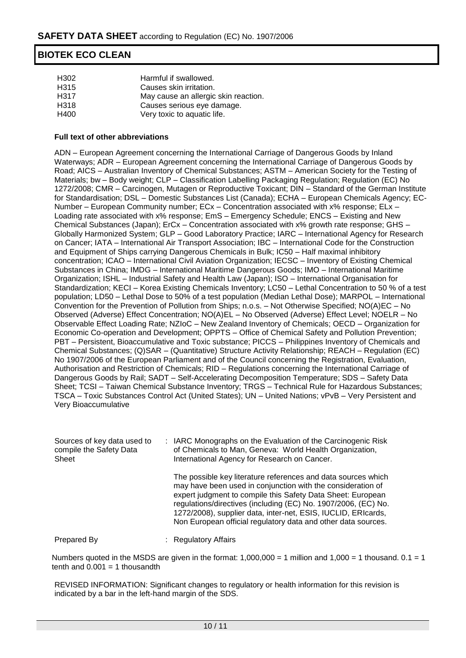| H302 | Harmful if swallowed.                |
|------|--------------------------------------|
| H315 | Causes skin irritation.              |
| H317 | May cause an allergic skin reaction. |
| H318 | Causes serious eye damage.           |
| H400 | Very toxic to aquatic life.          |

#### **Full text of other abbreviations**

ADN – European Agreement concerning the International Carriage of Dangerous Goods by Inland Waterways; ADR – European Agreement concerning the International Carriage of Dangerous Goods by Road; AICS – Australian Inventory of Chemical Substances; ASTM – American Society for the Testing of Materials; bw – Body weight; CLP – Classification Labelling Packaging Regulation; Regulation (EC) No 1272/2008; CMR – Carcinogen, Mutagen or Reproductive Toxicant; DIN – Standard of the German Institute for Standardisation; DSL – Domestic Substances List (Canada); ECHA – European Chemicals Agency; EC-Number – European Community number; ECx – Concentration associated with x% response; ELx – Loading rate associated with x% response; EmS – Emergency Schedule; ENCS – Existing and New Chemical Substances (Japan); ErCx – Concentration associated with x% growth rate response; GHS – Globally Harmonized System; GLP – Good Laboratory Practice; IARC – International Agency for Research on Cancer; IATA – International Air Transport Association; IBC – International Code for the Construction and Equipment of Ships carrying Dangerous Chemicals in Bulk; IC50 – Half maximal inhibitory concentration; ICAO – International Civil Aviation Organization; IECSC – Inventory of Existing Chemical Substances in China; IMDG – International Maritime Dangerous Goods; IMO – International Maritime Organization; ISHL – Industrial Safety and Health Law (Japan); ISO – International Organisation for Standardization; KECI – Korea Existing Chemicals Inventory; LC50 – Lethal Concentration to 50 % of a test population; LD50 – Lethal Dose to 50% of a test population (Median Lethal Dose); MARPOL – International Convention for the Prevention of Pollution from Ships; n.o.s. – Not Otherwise Specified; NO(A)EC – No Observed (Adverse) Effect Concentration; NO(A)EL – No Observed (Adverse) Effect Level; NOELR – No Observable Effect Loading Rate; NZIoC – New Zealand Inventory of Chemicals; OECD – Organization for Economic Co-operation and Development; OPPTS – Office of Chemical Safety and Pollution Prevention; PBT – Persistent, Bioaccumulative and Toxic substance; PICCS – Philippines Inventory of Chemicals and Chemical Substances; (Q)SAR – (Quantitative) Structure Activity Relationship; REACH – Regulation (EC) No 1907/2006 of the European Parliament and of the Council concerning the Registration, Evaluation, Authorisation and Restriction of Chemicals; RID – Regulations concerning the International Carriage of Dangerous Goods by Rail; SADT – Self-Accelerating Decomposition Temperature; SDS – Safety Data Sheet; TCSI – Taiwan Chemical Substance Inventory; TRGS – Technical Rule for Hazardous Substances; TSCA – Toxic Substances Control Act (United States); UN – United Nations; vPvB – Very Persistent and Very Bioaccumulative

| Sources of key data used to<br>compile the Safety Data<br>Sheet | : IARC Monographs on the Evaluation of the Carcinogenic Risk<br>of Chemicals to Man, Geneva: World Health Organization,<br>International Agency for Research on Cancer.                                                                                                                                                                                                                         |
|-----------------------------------------------------------------|-------------------------------------------------------------------------------------------------------------------------------------------------------------------------------------------------------------------------------------------------------------------------------------------------------------------------------------------------------------------------------------------------|
|                                                                 | The possible key literature references and data sources which<br>may have been used in conjunction with the consideration of<br>expert judgment to compile this Safety Data Sheet: European<br>regulations/directives (including (EC) No. 1907/2006, (EC) No.<br>1272/2008), supplier data, inter-net, ESIS, IUCLID, ERIcards,<br>Non European official regulatory data and other data sources. |
| Prepared By                                                     | : Regulatory Affairs                                                                                                                                                                                                                                                                                                                                                                            |

Numbers quoted in the MSDS are given in the format:  $1,000,000 = 1$  million and  $1,000 = 1$  thousand.  $0.1 = 1$ tenth and  $0.001 = 1$  thousandth

REVISED INFORMATION: Significant changes to regulatory or health information for this revision is indicated by a bar in the left-hand margin of the SDS.